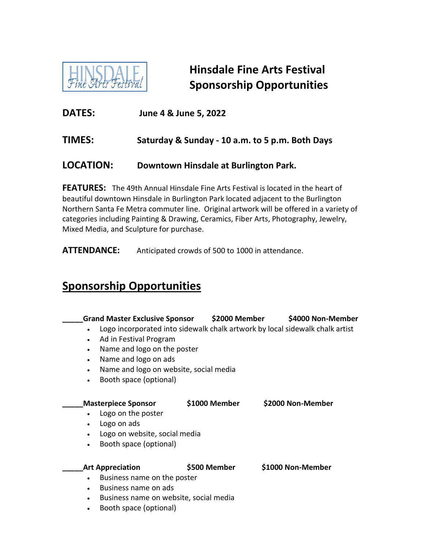

**Hinsdale Fine Arts Festival Sponsorship Opportunities**

**DATES: June 4 & June 5, 2022**

## **TIMES: Saturday & Sunday - 10 a.m. to 5 p.m. Both Days**

## **LOCATION: Downtown Hinsdale at Burlington Park.**

**FEATURES:** The 49th Annual Hinsdale Fine Arts Festival is located in the heart of beautiful downtown Hinsdale in Burlington Park located adjacent to the Burlington Northern Santa Fe Metra commuter line. Original artwork will be offered in a variety of categories including Painting & Drawing, Ceramics, Fiber Arts, Photography, Jewelry, Mixed Media, and Sculpture for purchase.

**ATTENDANCE:** Anticipated crowds of 500 to 1000 in attendance.

## **Sponsorship Opportunities**

| <b>Grand Master Exclusive Sponsor</b>               | \$2000 Member | \$4000 Non-Member                                                            |
|-----------------------------------------------------|---------------|------------------------------------------------------------------------------|
| $\bullet$                                           |               | Logo incorporated into sidewalk chalk artwork by local sidewalk chalk artist |
| Ad in Festival Program<br>$\bullet$                 |               |                                                                              |
| Name and logo on the poster<br>$\bullet$            |               |                                                                              |
| Name and logo on ads<br>$\bullet$                   |               |                                                                              |
| Name and logo on website, social media<br>$\bullet$ |               |                                                                              |
| Booth space (optional)<br>$\bullet$                 |               |                                                                              |
|                                                     |               |                                                                              |
| <b>Masterpiece Sponsor</b>                          | \$1000 Member | \$2000 Non-Member                                                            |
| Logo on the poster<br>$\bullet$                     |               |                                                                              |
| Logo on ads<br>$\bullet$                            |               |                                                                              |
| Logo on website, social media<br>$\bullet$          |               |                                                                              |
| Booth space (optional)<br>$\bullet$                 |               |                                                                              |
|                                                     |               |                                                                              |
| <b>Art Appreciation</b>                             | \$500 Member  | \$1000 Non-Member                                                            |
| Business name on the poster<br>$\bullet$            |               |                                                                              |
| Business name on ads<br>$\bullet$                   |               |                                                                              |
| Business name on website, social media<br>$\bullet$ |               |                                                                              |
| Booth space (optional)<br>$\bullet$                 |               |                                                                              |